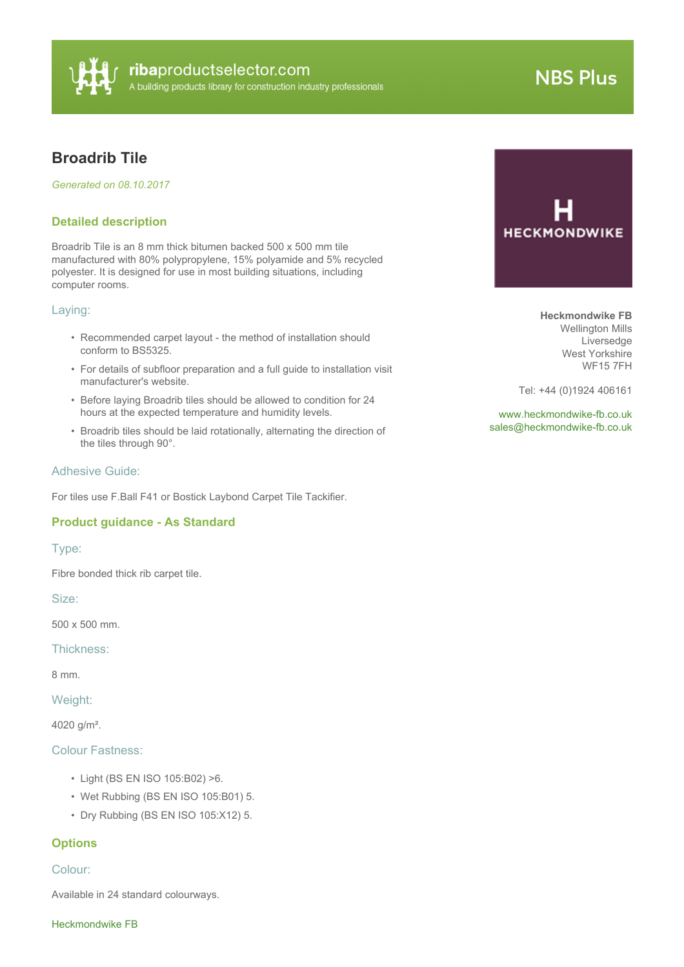

# **NBS Plus**

# **Broadrib Tile**

*Generated on 08.10.2017*

# **Detailed description**

Broadrib Tile is an 8 mm thick bitumen backed 500 x 500 mm tile manufactured with 80% polypropylene, 15% polyamide and 5% recycled polyester. It is designed for use in most building situations, including computer rooms.

#### Laying:

- Recommended carpet layout the method of installation should conform to BS5325.
- For details of subfloor preparation and a full guide to installation visit manufacturer's website.
- Before laying Broadrib tiles should be allowed to condition for 24 hours at the expected temperature and humidity levels.
- Broadrib tiles should be laid rotationally, alternating the direction of the tiles through 90°.

### Adhesive Guide:

For tiles use F.Ball F41 or Bostick Laybond Carpet Tile Tackifier.

# **Product guidance - As Standard**

#### Type:

Fibre bonded thick rib carpet tile.

Size:

500 x 500 mm.

Thickness:

8 mm.

Weight:

4020 g/m².

# Colour Fastness:

- Light (BS EN ISO 105:B02) >6.
- Wet Rubbing (BS EN ISO 105:B01) 5.
- Dry Rubbing (BS EN ISO 105:X12) 5.

# **Options**

#### Colour:

Available in 24 standard colourways.

Heckmondwike FB



**Heckmondwike FB** Wellington Mills Liversedge West Yorkshire WF15 7FH

Tel: +44 (0)1924 406161

<www.heckmondwike-fb.co.uk> [sales@heckmondwike-fb.co.uk](mailto:sales@heckmondwike-fb.co.uk?subject=Broadrib Tile)